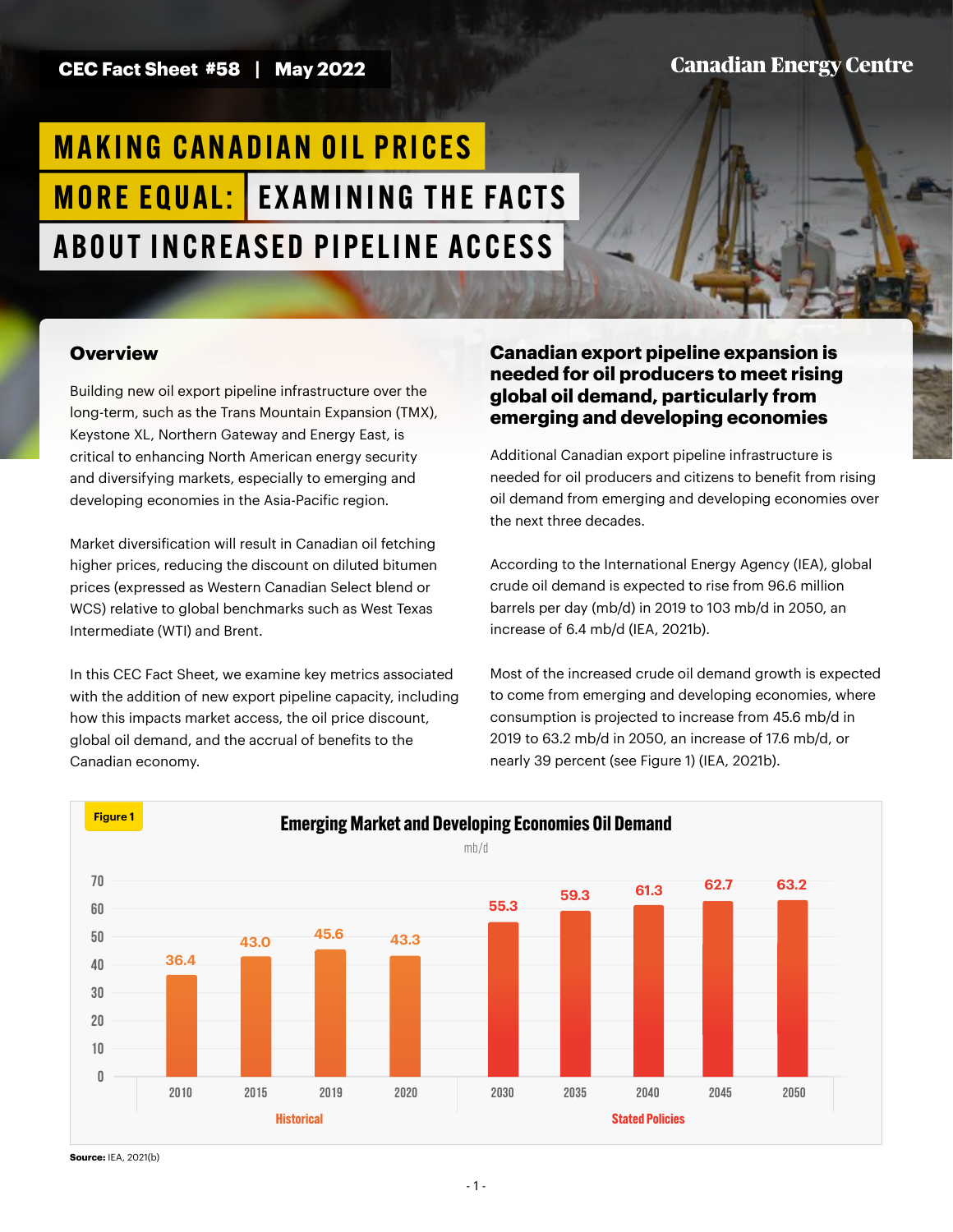# **Canadian Energy Centre**

# **MAKING CANADIAN OIL PRICES MORE EQUAL: EXAMINING THE FACTS** A BOUT IN CREASED PIPELINE ACCESS

#### **Overview**

Building new oil export pipeline infrastructure over the long-term, such as the Trans Mountain Expansion (TMX), Keystone XL, Northern Gateway and Energy East, is critical to enhancing North American energy security and diversifying markets, especially to emerging and developing economies in the Asia-Pacific region.

Market diversification will result in Canadian oil fetching higher prices, reducing the discount on diluted bitumen prices (expressed as Western Canadian Select blend or WCS) relative to global benchmarks such as West Texas Intermediate (WTI) and Brent.

In this CEC Fact Sheet, we examine key metrics associated with the addition of new export pipeline capacity, including how this impacts market access, the oil price discount, global oil demand, and the accrual of benefits to the Canadian economy.

### **Canadian export pipeline expansion is needed for oil producers to meet rising global oil demand, particularly from emerging and developing economies**

Additional Canadian export pipeline infrastructure is needed for oil producers and citizens to benefit from rising oil demand from emerging and developing economies over the next three decades.

According to the International Energy Agency (IEA), global crude oil demand is expected to rise from 96.6 million barrels per day (mb/d) in 2019 to 103 mb/d in 2050, an increase of 6.4 mb/d (IEA, 2021b).

Most of the increased crude oil demand growth is expected to come from emerging and developing economies, where consumption is projected to increase from 45.6 mb/d in 2019 to 63.2 mb/d in 2050, an increase of 17.6 mb/d, or nearly 39 percent (see Figure 1) (IEA, 2021b).



**Source:** IEA, 2021(b)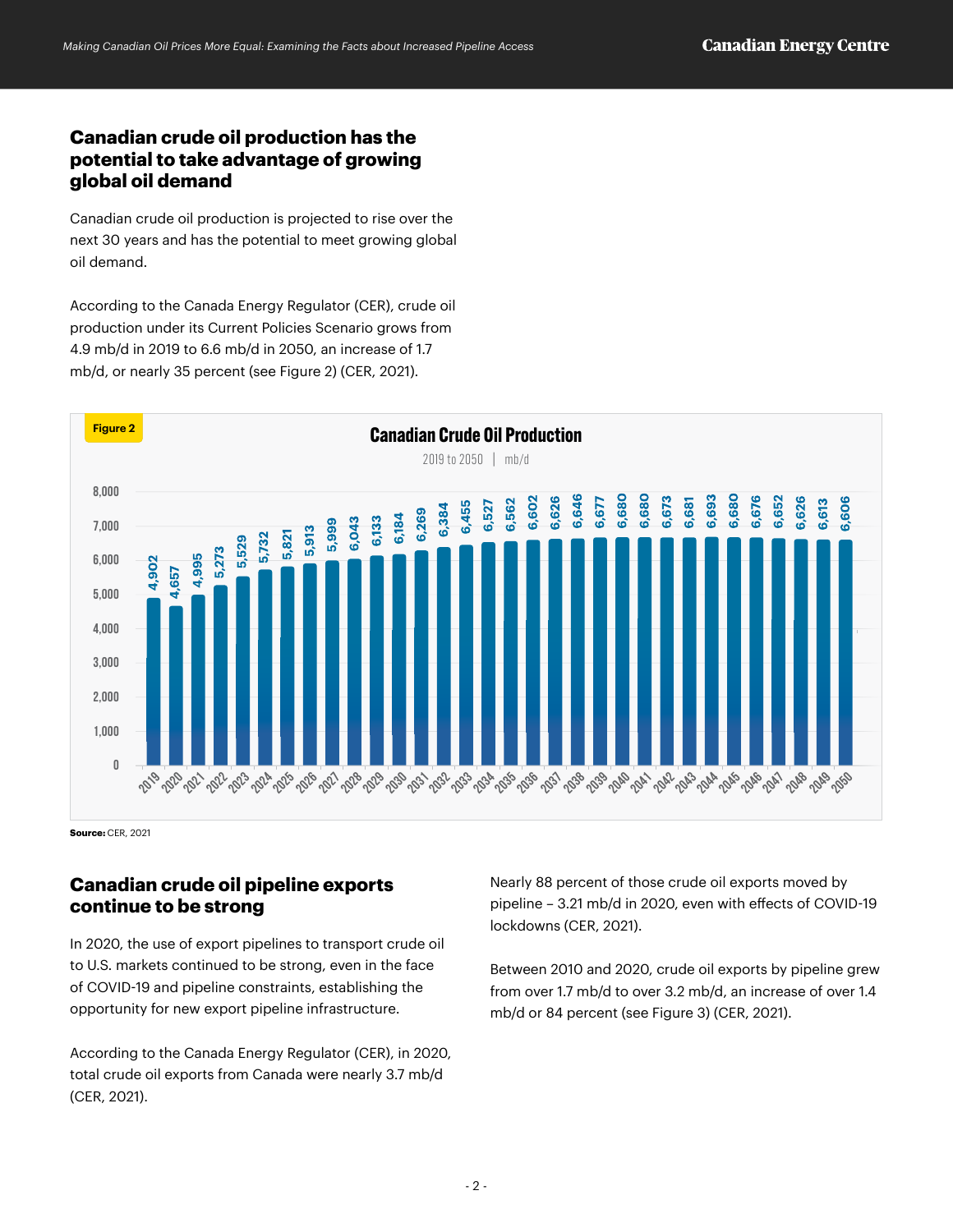# **Canadian crude oil production has the potential to take advantage of growing global oil demand**

Canadian crude oil production is projected to rise over the next 30 years and has the potential to meet growing global oil demand.

According to the Canada Energy Regulator (CER), crude oil production under its Current Policies Scenario grows from 4.9 mb/d in 2019 to 6.6 mb/d in 2050, an increase of 1.7 mb/d, or nearly 35 percent (see Figure 2) (CER, 2021).



**Source:** CER, 2021

# **Canadian crude oil pipeline exports continue to be strong**

In 2020, the use of export pipelines to transport crude oil to U.S. markets continued to be strong, even in the face of COVID-19 and pipeline constraints, establishing the opportunity for new export pipeline infrastructure.

According to the Canada Energy Regulator (CER), in 2020, total crude oil exports from Canada were nearly 3.7 mb/d (CER, 2021).

Nearly 88 percent of those crude oil exports moved by pipeline – 3.21 mb/d in 2020, even with effects of COVID-19 lockdowns (CER, 2021).

Between 2010 and 2020, crude oil exports by pipeline grew from over 1.7 mb/d to over 3.2 mb/d, an increase of over 1.4 mb/d or 84 percent (see Figure 3) (CER, 2021).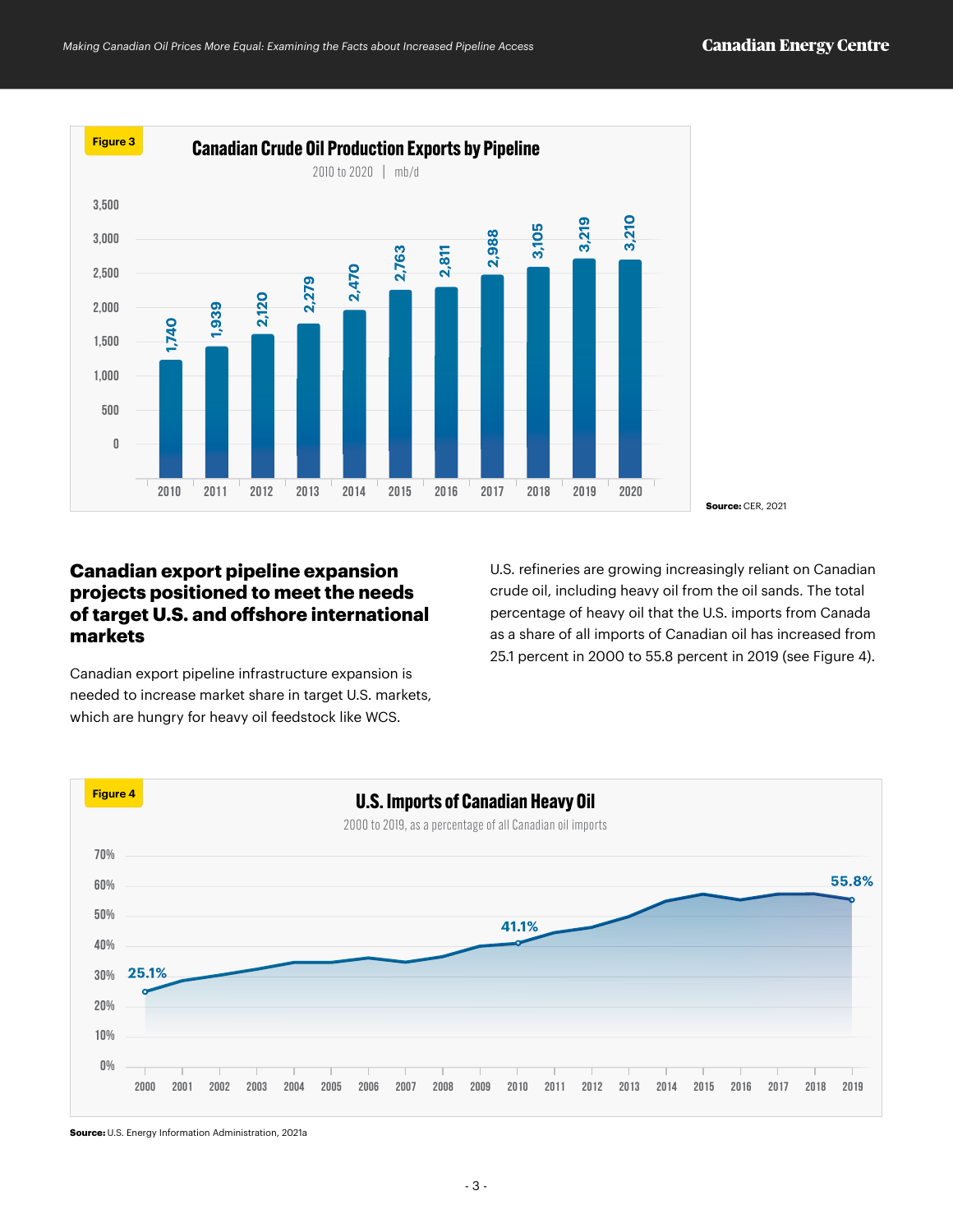

## **Canadian export pipeline expansion projects positioned to meet the needs of target U.S. and offshore international markets**

Canadian export pipeline infrastructure expansion is needed to increase market share in target U.S. markets, which are hungry for heavy oil feedstock like WCS.

U.S. refineries are growing increasingly reliant on Canadian crude oil, including heavy oil from the oil sands. The total percentage of heavy oil that the U.S. imports from Canada as a share of all imports of Canadian oil has increased from 25.1 percent in 2000 to 55.8 percent in 2019 (see Figure 4).



**Source:** U.S. Energy Information Administration, 2021a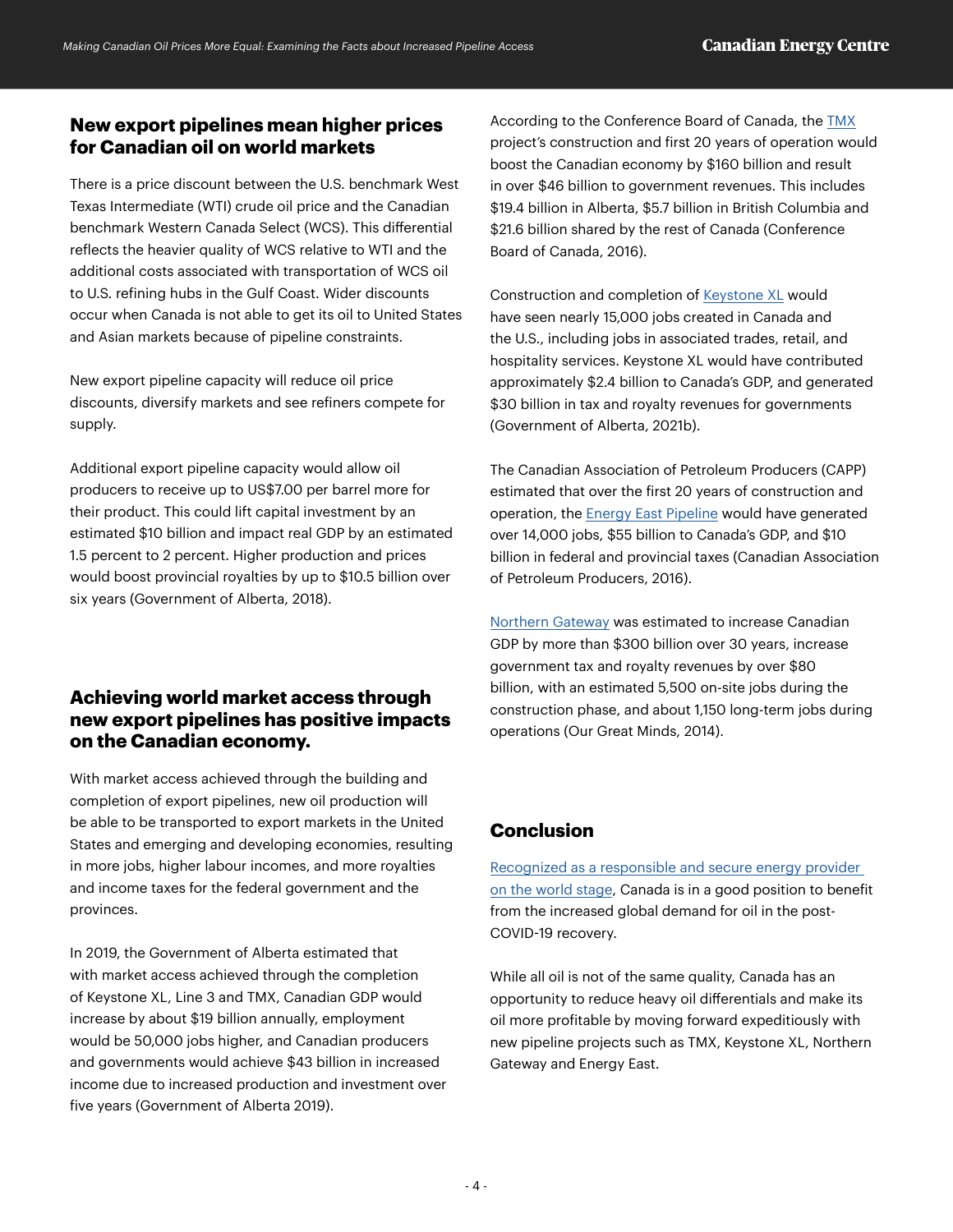## **New export pipelines mean higher prices for Canadian oil on world markets**

There is a price discount between the U.S. benchmark West Texas Intermediate (WTI) crude oil price and the Canadian benchmark Western Canada Select (WCS). This differential reflects the heavier quality of WCS relative to WTI and the additional costs associated with transportation of WCS oil to U.S. refining hubs in the Gulf Coast. Wider discounts occur when Canada is not able to get its oil to United States and Asian markets because of pipeline constraints.

New export pipeline capacity will reduce oil price discounts, diversify markets and see refiners compete for supply.

Additional export pipeline capacity would allow oil producers to receive up to US\$7.00 per barrel more for their product. This could lift capital investment by an estimated \$10 billion and impact real GDP by an estimated 1.5 percent to 2 percent. Higher production and prices would boost provincial royalties by up to \$10.5 billion over six years (Government of Alberta, 2018).

# **Achieving world market access through new export pipelines has positive impacts on the Canadian economy.**

With market access achieved through the building and completion of export pipelines, new oil production will be able to be transported to export markets in the United States and emerging and developing economies, resulting in more jobs, higher labour incomes, and more royalties and income taxes for the federal government and the provinces.

In 2019, the Government of Alberta estimated that with market access achieved through the completion of Keystone XL, Line 3 and TMX, Canadian GDP would increase by about \$19 billion annually, employment would be 50,000 jobs higher, and Canadian producers and governments would achieve \$43 billion in increased income due to increased production and investment over five years (Government of Alberta 2019).

According to the Conference Board of Canada, the [TMX](https://www.canadianenergycentre.ca/seven-reasons-the-trans-mountain-pipeline-expansion-is-good-for-canada/) project's construction and first 20 years of operation would boost the Canadian economy by \$160 billion and result in over \$46 billion to government revenues. This includes \$19.4 billion in Alberta, \$5.7 billion in British Columbia and \$21.6 billion shared by the rest of Canada (Conference Board of Canada, 2016).

Construction and completion of [Keystone XL](https://www.canadianenergycentre.ca/one-year-later-keystone-xl-cancellation-represents-a-massive-missed-opportunity/) would have seen nearly 15,000 jobs created in Canada and the U.S., including jobs in associated trades, retail, and hospitality services. Keystone XL would have contributed approximately \$2.4 billion to Canada's GDP, and generated \$30 billion in tax and royalty revenues for governments (Government of Alberta, 2021b).

The Canadian Association of Petroleum Producers (CAPP) estimated that over the first 20 years of construction and operation, the [Energy East Pipeline](https://context.capp.ca/articles/2016/feature_transcanada-energy-east-everything-you-need-to-know/) would have generated over 14,000 jobs, \$55 billion to Canada's GDP, and \$10 billion in federal and provincial taxes (Canadian Association of Petroleum Producers, 2016).

[Northern Gateway](https://theogm.com/2014/04/02/the-northern-gateway-pipeline-transporting-energy-in-a-transformative-direction/) was estimated to increase Canadian GDP by more than \$300 billion over 30 years, increase government tax and royalty revenues by over \$80 billion, with an estimated 5,500 on-site jobs during the construction phase, and about 1,150 long-term jobs during operations (Our Great Minds, 2014).

# **Conclusion**

[Recognized as a responsible and secure energy provider](https://www.canadianenergycentre.ca/iea-boss-prefers-oil-and-gas-from-canada/)  [on the world stage](https://www.canadianenergycentre.ca/iea-boss-prefers-oil-and-gas-from-canada/), Canada is in a good position to benefit from the increased global demand for oil in the post-COVID-19 recovery.

While all oil is not of the same quality, Canada has an opportunity to reduce heavy oil differentials and make its oil more profitable by moving forward expeditiously with new pipeline projects such as TMX, Keystone XL, Northern Gateway and Energy East.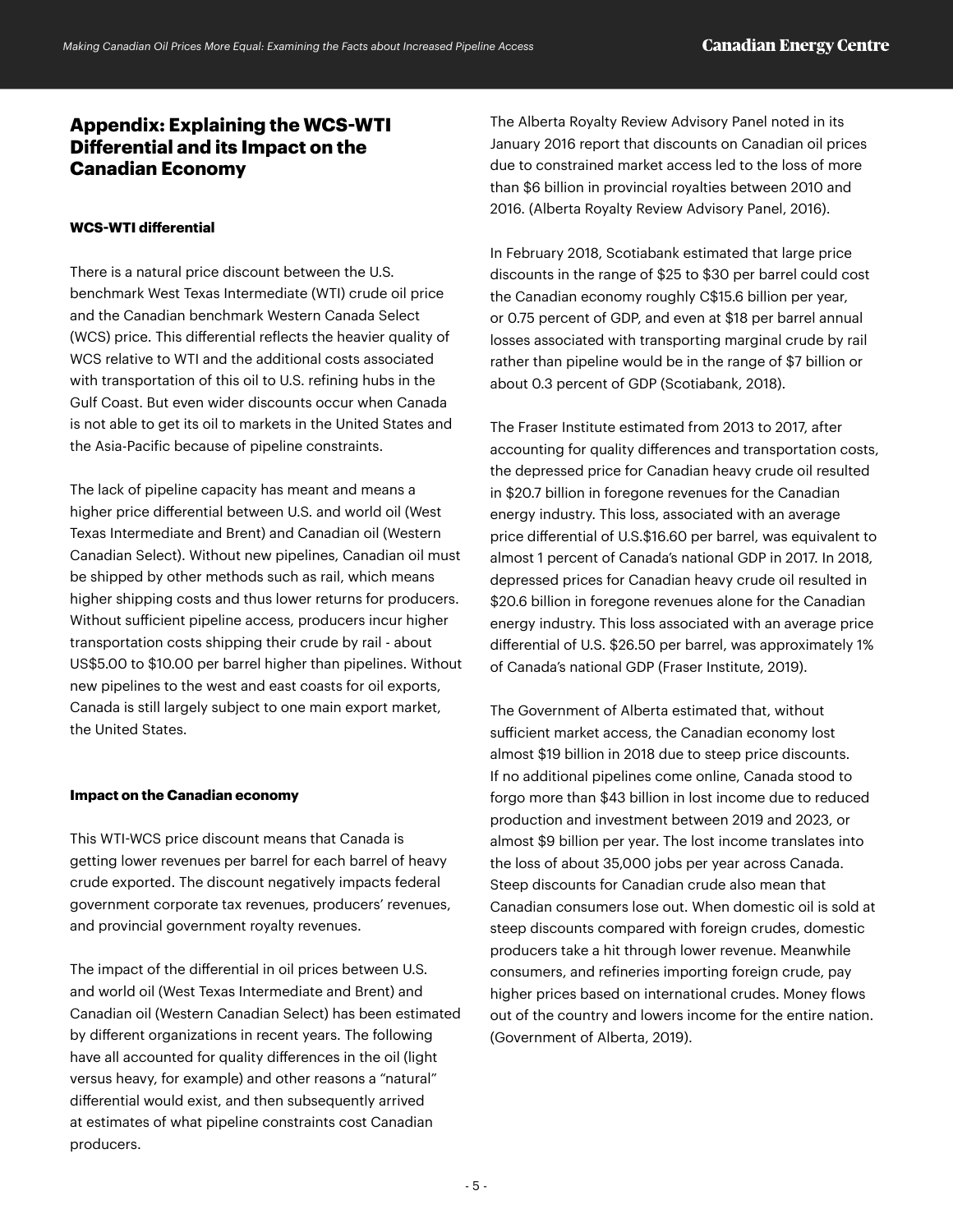#### **Appendix: Explaining the WCS-WTI Differential and its Impact on the Canadian Economy**

#### **WCS-WTI differential**

There is a natural price discount between the U.S. benchmark West Texas Intermediate (WTI) crude oil price and the Canadian benchmark Western Canada Select (WCS) price. This differential reflects the heavier quality of WCS relative to WTI and the additional costs associated with transportation of this oil to U.S. refining hubs in the Gulf Coast. But even wider discounts occur when Canada is not able to get its oil to markets in the United States and the Asia-Pacific because of pipeline constraints.

The lack of pipeline capacity has meant and means a higher price differential between U.S. and world oil (West Texas Intermediate and Brent) and Canadian oil (Western Canadian Select). Without new pipelines, Canadian oil must be shipped by other methods such as rail, which means higher shipping costs and thus lower returns for producers. Without sufficient pipeline access, producers incur higher transportation costs shipping their crude by rail - about US\$5.00 to \$10.00 per barrel higher than pipelines. Without new pipelines to the west and east coasts for oil exports, Canada is still largely subject to one main export market, the United States.

#### **Impact on the Canadian economy**

This WTI-WCS price discount means that Canada is getting lower revenues per barrel for each barrel of heavy crude exported. The discount negatively impacts federal government corporate tax revenues, producers' revenues, and provincial government royalty revenues.

The impact of the differential in oil prices between U.S. and world oil (West Texas Intermediate and Brent) and Canadian oil (Western Canadian Select) has been estimated by different organizations in recent years. The following have all accounted for quality differences in the oil (light versus heavy, for example) and other reasons a "natural" differential would exist, and then subsequently arrived at estimates of what pipeline constraints cost Canadian producers.

The Alberta Royalty Review Advisory Panel noted in its January 2016 report that discounts on Canadian oil prices due to constrained market access led to the loss of more than \$6 billion in provincial royalties between 2010 and 2016. (Alberta Royalty Review Advisory Panel, 2016).

In February 2018, Scotiabank estimated that large price discounts in the range of \$25 to \$30 per barrel could cost the Canadian economy roughly C\$15.6 billion per year, or 0.75 percent of GDP, and even at \$18 per barrel annual losses associated with transporting marginal crude by rail rather than pipeline would be in the range of \$7 billion or about 0.3 percent of GDP (Scotiabank, 2018).

The Fraser Institute estimated from 2013 to 2017, after accounting for quality differences and transportation costs, the depressed price for Canadian heavy crude oil resulted in \$20.7 billion in foregone revenues for the Canadian energy industry. This loss, associated with an average price differential of U.S.\$16.60 per barrel, was equivalent to almost 1 percent of Canada's national GDP in 2017. In 2018, depressed prices for Canadian heavy crude oil resulted in \$20.6 billion in foregone revenues alone for the Canadian energy industry. This loss associated with an average price differential of U.S. \$26.50 per barrel, was approximately 1% of Canada's national GDP (Fraser Institute, 2019).

The Government of Alberta estimated that, without sufficient market access, the Canadian economy lost almost \$19 billion in 2018 due to steep price discounts. If no additional pipelines come online, Canada stood to forgo more than \$43 billion in lost income due to reduced production and investment between 2019 and 2023, or almost \$9 billion per year. The lost income translates into the loss of about 35,000 jobs per year across Canada. Steep discounts for Canadian crude also mean that Canadian consumers lose out. When domestic oil is sold at steep discounts compared with foreign crudes, domestic producers take a hit through lower revenue. Meanwhile consumers, and refineries importing foreign crude, pay higher prices based on international crudes. Money flows out of the country and lowers income for the entire nation. (Government of Alberta, 2019).